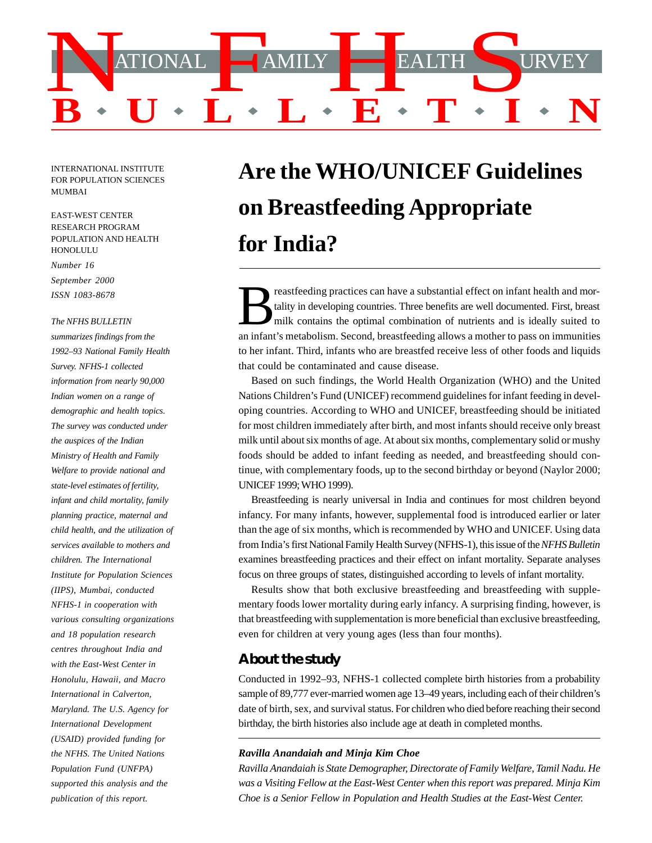

INTERNATIONAL INSTITUTE FOR POPULATION SCIENCES MUMBAI

EAST-WEST CENTER RESEARCH PROGRAM POPULATION AND HEALTH HONOLULU

*Number 16 September 2000 ISSN 1083-8678*

#### *The NFHS BULLETIN*

*summarizes findings from the 1992–93 National Family Health Survey. NFHS-1 collected information from nearly 90,000 Indian women on a range of demographic and health topics. The survey was conducted under the auspices of the Indian Ministry of Health and Family Welfare to provide national and state-level estimates of fertility, infant and child mortality, family planning practice, maternal and child health, and the utilization of services available to mothers and children. The International Institute for Population Sciences (IIPS), Mumbai, conducted NFHS-1 in cooperation with various consulting organizations and 18 population research centres throughout India and with the East-West Center in Honolulu, Hawaii, and Macro International in Calverton, Maryland. The U.S. Agency for International Development (USAID) provided funding for the NFHS. The United Nations Population Fund (UNFPA) supported this analysis and the publication of this report.*

# **Are the WHO/UNICEF Guidelines on Breastfeeding Appropriate for India?**

an infant's metabolism. Second, breastfeeding allows a mother to pass on immunities to her infant. Third, infants who are breastfed receive less of other foods and liquids that could be contaminated and cause disease. reastfeeding practices can have a substantial effect on infant health and mortality in developing countries. Three benefits are well documented. First, breast milk contains the optimal combination of nutrients and is ideal tality in developing countries. Three benefits are well documented. First, breast milk contains the optimal combination of nutrients and is ideally suited to

Based on such findings, the World Health Organization (WHO) and the United Nations Children's Fund (UNICEF) recommend guidelines for infant feeding in developing countries. According to WHO and UNICEF, breastfeeding should be initiated for most children immediately after birth, and most infants should receive only breast milk until about six months of age. At about six months, complementary solid or mushy foods should be added to infant feeding as needed, and breastfeeding should continue, with complementary foods, up to the second birthday or beyond (Naylor 2000; UNICEF 1999; WHO 1999).

Breastfeeding is nearly universal in India and continues for most children beyond infancy. For many infants, however, supplemental food is introduced earlier or later than the age of six months, which is recommended by WHO and UNICEF. Using data from India's first National Family Health Survey (NFHS-1), this issue of the *NFHS Bulletin* examines breastfeeding practices and their effect on infant mortality. Separate analyses focus on three groups of states, distinguished according to levels of infant mortality.

Results show that both exclusive breastfeeding and breastfeeding with supplementary foods lower mortality during early infancy. A surprising finding, however, is that breastfeeding with supplementation is more beneficial than exclusive breastfeeding, even for children at very young ages (less than four months).

## **About the study**

Conducted in 1992–93, NFHS-1 collected complete birth histories from a probability sample of 89,777 ever-married women age 13–49 years, including each of their children's date of birth, sex, and survival status. For children who died before reaching their second birthday, the birth histories also include age at death in completed months.

#### *Ravilla Anandaiah and Minja Kim Choe*

*Ravilla Anandaiah is State Demographer, Directorate of Family Welfare, Tamil Nadu. He was a Visiting Fellow at the East-West Center when this report was prepared. Minja Kim Choe is a Senior Fellow in Population and Health Studies at the East-West Center.*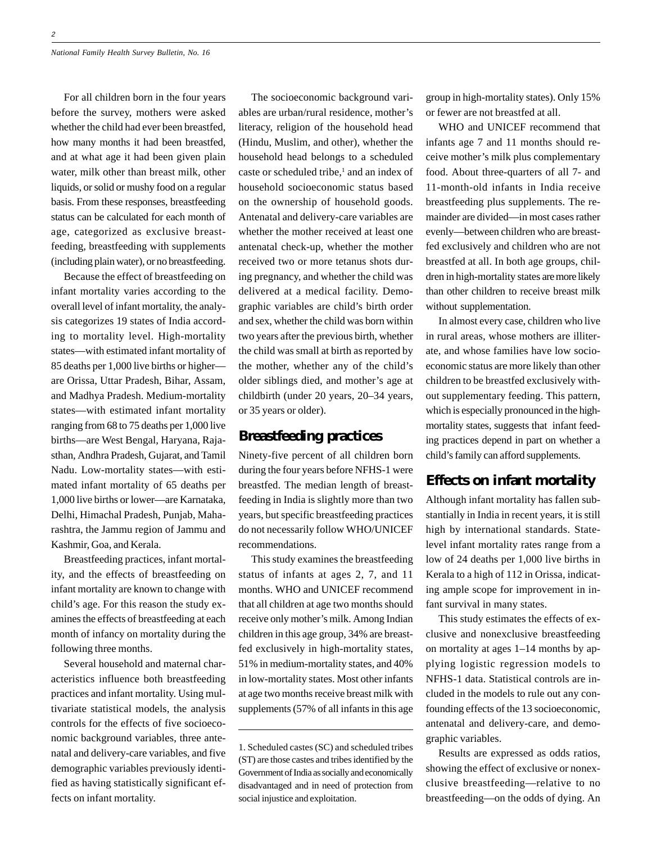For all children born in the four years before the survey, mothers were asked whether the child had ever been breastfed, how many months it had been breastfed, and at what age it had been given plain water, milk other than breast milk, other liquids, or solid or mushy food on a regular basis. From these responses, breastfeeding status can be calculated for each month of age, categorized as exclusive breastfeeding, breastfeeding with supplements (including plain water), or no breastfeeding.

Because the effect of breastfeeding on infant mortality varies according to the overall level of infant mortality, the analysis categorizes 19 states of India according to mortality level. High-mortality states—with estimated infant mortality of 85 deaths per 1,000 live births or higher are Orissa, Uttar Pradesh, Bihar, Assam, and Madhya Pradesh. Medium-mortality states—with estimated infant mortality ranging from 68 to 75 deaths per 1,000 live births—are West Bengal, Haryana, Rajasthan, Andhra Pradesh, Gujarat, and Tamil Nadu. Low-mortality states—with estimated infant mortality of 65 deaths per 1,000 live births or lower—are Karnataka, Delhi, Himachal Pradesh, Punjab, Maharashtra, the Jammu region of Jammu and Kashmir, Goa, and Kerala.

Breastfeeding practices, infant mortality, and the effects of breastfeeding on infant mortality are known to change with child's age. For this reason the study examines the effects of breastfeeding at each month of infancy on mortality during the following three months.

Several household and maternal characteristics influence both breastfeeding practices and infant mortality. Using multivariate statistical models, the analysis controls for the effects of five socioeconomic background variables, three antenatal and delivery-care variables, and five demographic variables previously identified as having statistically significant effects on infant mortality.

The socioeconomic background variables are urban/rural residence, mother's literacy, religion of the household head (Hindu, Muslim, and other), whether the household head belongs to a scheduled caste or scheduled tribe,<sup>1</sup> and an index of household socioeconomic status based on the ownership of household goods. Antenatal and delivery-care variables are whether the mother received at least one antenatal check-up, whether the mother received two or more tetanus shots during pregnancy, and whether the child was delivered at a medical facility. Demographic variables are child's birth order and sex, whether the child was born within two years after the previous birth, whether the child was small at birth as reported by the mother, whether any of the child's older siblings died, and mother's age at childbirth (under 20 years, 20–34 years, or 35 years or older).

## **Breastfeeding practices**

Ninety-five percent of all children born during the four years before NFHS-1 were breastfed. The median length of breastfeeding in India is slightly more than two years, but specific breastfeeding practices do not necessarily follow WHO/UNICEF recommendations.

This study examines the breastfeeding status of infants at ages 2, 7, and 11 months. WHO and UNICEF recommend that all children at age two months should receive only mother's milk. Among Indian children in this age group, 34% are breastfed exclusively in high-mortality states, 51% in medium-mortality states, and 40% in low-mortality states. Most other infants at age two months receive breast milk with supplements (57% of all infants in this age

group in high-mortality states). Only 15% or fewer are not breastfed at all.

WHO and UNICEF recommend that infants age 7 and 11 months should receive mother's milk plus complementary food. About three-quarters of all 7- and 11-month-old infants in India receive breastfeeding plus supplements. The remainder are divided—in most cases rather evenly—between children who are breastfed exclusively and children who are not breastfed at all. In both age groups, children in high-mortality states are more likely than other children to receive breast milk without supplementation.

In almost every case, children who live in rural areas, whose mothers are illiterate, and whose families have low socioeconomic status are more likely than other children to be breastfed exclusively without supplementary feeding. This pattern, which is especially pronounced in the highmortality states, suggests that infant feeding practices depend in part on whether a child's family can afford supplements.

## **Effects on infant mortality**

Although infant mortality has fallen substantially in India in recent years, it is still high by international standards. Statelevel infant mortality rates range from a low of 24 deaths per 1,000 live births in Kerala to a high of 112 in Orissa, indicating ample scope for improvement in infant survival in many states.

This study estimates the effects of exclusive and nonexclusive breastfeeding on mortality at ages 1–14 months by applying logistic regression models to NFHS-1 data. Statistical controls are included in the models to rule out any confounding effects of the 13 socioeconomic, antenatal and delivery-care, and demographic variables.

Results are expressed as odds ratios, showing the effect of exclusive or nonexclusive breastfeeding—relative to no breastfeeding—on the odds of dying. An

<sup>1.</sup> Scheduled castes (SC) and scheduled tribes (ST) are those castes and tribes identified by the Government of India as socially and economically disadvantaged and in need of protection from social injustice and exploitation.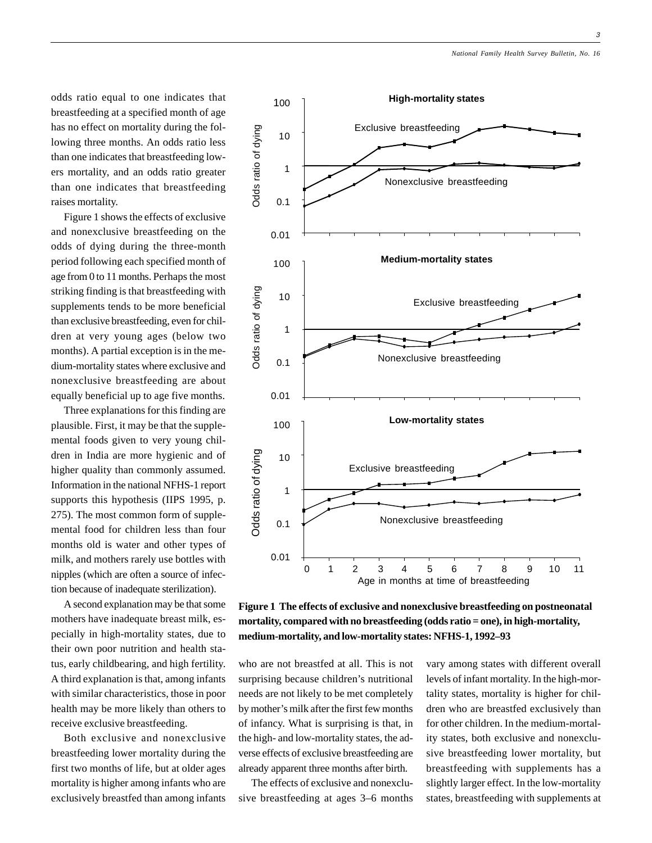odds ratio equal to one indicates that breastfeeding at a specified month of age has no effect on mortality during the following three months. An odds ratio less than one indicates that breastfeeding lowers mortality, and an odds ratio greater than one indicates that breastfeeding raises mortality.

Figure 1 shows the effects of exclusive and nonexclusive breastfeeding on the odds of dying during the three-month period following each specified month of age from 0 to 11 months. Perhaps the most striking finding is that breastfeeding with supplements tends to be more beneficial than exclusive breastfeeding, even for children at very young ages (below two months). A partial exception is in the medium-mortality states where exclusive and nonexclusive breastfeeding are about equally beneficial up to age five months.

Three explanations for this finding are plausible. First, it may be that the supplemental foods given to very young children in India are more hygienic and of higher quality than commonly assumed. Information in the national NFHS-1 report supports this hypothesis (IIPS 1995, p. 275). The most common form of supplemental food for children less than four months old is water and other types of milk, and mothers rarely use bottles with nipples (which are often a source of infection because of inadequate sterilization).

A second explanation may be that some mothers have inadequate breast milk, especially in high-mortality states, due to their own poor nutrition and health status, early childbearing, and high fertility. A third explanation is that, among infants with similar characteristics, those in poor health may be more likely than others to receive exclusive breastfeeding.

Both exclusive and nonexclusive breastfeeding lower mortality during the first two months of life, but at older ages mortality is higher among infants who are exclusively breastfed than among infants



**Figure 1 The effects of exclusive and nonexclusive breastfeeding on postneonatal mortality, compared with no breastfeeding (odds ratio = one), in high-mortality, medium-mortality, and low-mortality states: NFHS-1, 1992–93**

who are not breastfed at all. This is not surprising because children's nutritional needs are not likely to be met completely by mother's milk after the first few months of infancy. What is surprising is that, in the high- and low-mortality states, the adverse effects of exclusive breastfeeding are already apparent three months after birth.

The effects of exclusive and nonexclusive breastfeeding at ages 3–6 months vary among states with different overall levels of infant mortality. In the high-mortality states, mortality is higher for children who are breastfed exclusively than for other children. In the medium-mortality states, both exclusive and nonexclusive breastfeeding lower mortality, but breastfeeding with supplements has a slightly larger effect. In the low-mortality states, breastfeeding with supplements at